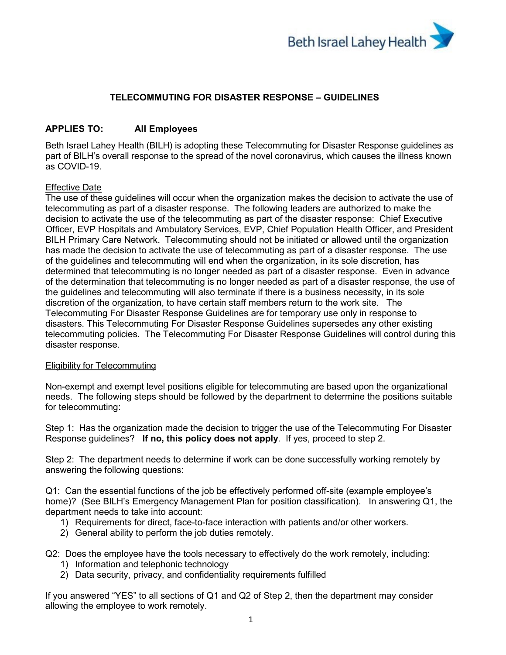

# **TELECOMMUTING FOR DISASTER RESPONSE – GUIDELINES**

# **APPLIES TO: All Employees**

Beth Israel Lahey Health (BILH) is adopting these Telecommuting for Disaster Response guidelines as part of BILH's overall response to the spread of the novel coronavirus, which causes the illness known as COVID-19.

### Effective Date

The use of these guidelines will occur when the organization makes the decision to activate the use of telecommuting as part of a disaster response. The following leaders are authorized to make the decision to activate the use of the telecommuting as part of the disaster response: Chief Executive Officer, EVP Hospitals and Ambulatory Services, EVP, Chief Population Health Officer, and President BILH Primary Care Network. Telecommuting should not be initiated or allowed until the organization has made the decision to activate the use of telecommuting as part of a disaster response. The use of the guidelines and telecommuting will end when the organization, in its sole discretion, has determined that telecommuting is no longer needed as part of a disaster response. Even in advance of the determination that telecommuting is no longer needed as part of a disaster response, the use of the guidelines and telecommuting will also terminate if there is a business necessity, in its sole discretion of the organization, to have certain staff members return to the work site. The Telecommuting For Disaster Response Guidelines are for temporary use only in response to disasters. This Telecommuting For Disaster Response Guidelines supersedes any other existing telecommuting policies. The Telecommuting For Disaster Response Guidelines will control during this disaster response.

#### Eligibility for Telecommuting

Non-exempt and exempt level positions eligible for telecommuting are based upon the organizational needs. The following steps should be followed by the department to determine the positions suitable for telecommuting:

Step 1: Has the organization made the decision to trigger the use of the Telecommuting For Disaster Response guidelines? **If no, this policy does not apply**. If yes, proceed to step 2.

Step 2: The department needs to determine if work can be done successfully working remotely by answering the following questions:

Q1: Can the essential functions of the job be effectively performed off-site (example employee's home)? (See BILH's Emergency Management Plan for position classification). In answering Q1, the department needs to take into account:

- 1) Requirements for direct, face-to-face interaction with patients and/or other workers.
- 2) General ability to perform the job duties remotely.

Q2: Does the employee have the tools necessary to effectively do the work remotely, including:

- 1) Information and telephonic technology
- 2) Data security, privacy, and confidentiality requirements fulfilled

If you answered "YES" to all sections of Q1 and Q2 of Step 2, then the department may consider allowing the employee to work remotely.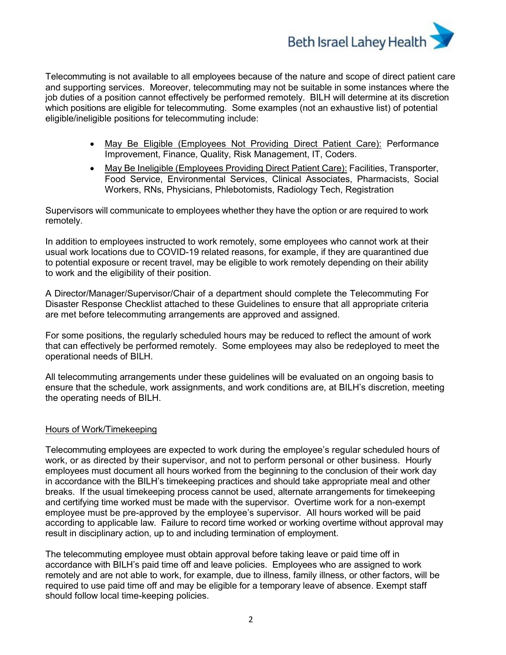

Telecommuting is not available to all employees because of the nature and scope of direct patient care and supporting services. Moreover, telecommuting may not be suitable in some instances where the job duties of a position cannot effectively be performed remotely. BILH will determine at its discretion which positions are eligible for telecommuting. Some examples (not an exhaustive list) of potential eligible/ineligible positions for telecommuting include:

- May Be Eligible (Employees Not Providing Direct Patient Care): Performance Improvement, Finance, Quality, Risk Management, IT, Coders.
- May Be Ineligible (Employees Providing Direct Patient Care): Facilities, Transporter, Food Service, Environmental Services, Clinical Associates, Pharmacists, Social Workers, RNs, Physicians, Phlebotomists, Radiology Tech, Registration

Supervisors will communicate to employees whether they have the option or are required to work remotely.

In addition to employees instructed to work remotely, some employees who cannot work at their usual work locations due to COVID-19 related reasons, for example, if they are quarantined due to potential exposure or recent travel, may be eligible to work remotely depending on their ability to work and the eligibility of their position.

A Director/Manager/Supervisor/Chair of a department should complete the Telecommuting For Disaster Response Checklist attached to these Guidelines to ensure that all appropriate criteria are met before telecommuting arrangements are approved and assigned.

For some positions, the regularly scheduled hours may be reduced to reflect the amount of work that can effectively be performed remotely. Some employees may also be redeployed to meet the operational needs of BILH.

All telecommuting arrangements under these guidelines will be evaluated on an ongoing basis to ensure that the schedule, work assignments, and work conditions are, at BILH's discretion, meeting the operating needs of BILH.

#### Hours of Work/Timekeeping

Telecommuting employees are expected to work during the employee's regular scheduled hours of work, or as directed by their supervisor, and not to perform personal or other business. Hourly employees must document all hours worked from the beginning to the conclusion of their work day in accordance with the BILH's timekeeping practices and should take appropriate meal and other breaks. If the usual timekeeping process cannot be used, alternate arrangements for timekeeping and certifying time worked must be made with the supervisor. Overtime work for a non-exempt employee must be pre-approved by the employee's supervisor. All hours worked will be paid according to applicable law. Failure to record time worked or working overtime without approval may result in disciplinary action, up to and including termination of employment.

The telecommuting employee must obtain approval before taking leave or paid time off in accordance with BILH's paid time off and leave policies. Employees who are assigned to work remotely and are not able to work, for example, due to illness, family illness, or other factors, will be required to use paid time off and may be eligible for a temporary leave of absence. Exempt staff should follow local time-keeping policies.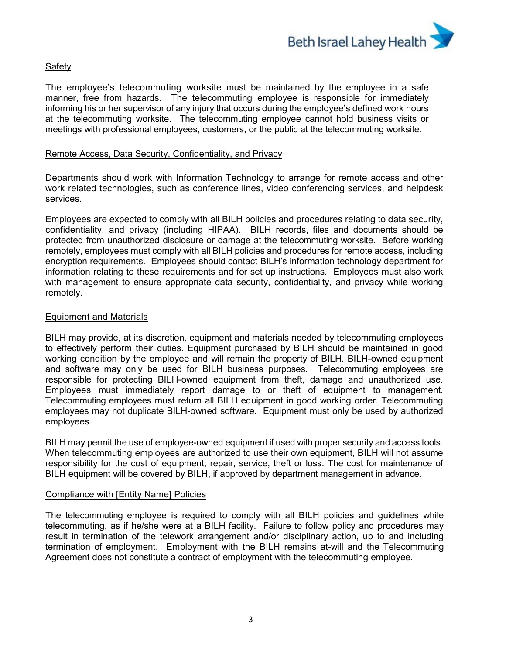

# Safety

The employee's telecommuting worksite must be maintained by the employee in a safe manner, free from hazards. The telecommuting employee is responsible for immediately informing his or her supervisor of any injury that occurs during the employee's defined work hours at the telecommuting worksite. The telecommuting employee cannot hold business visits or meetings with professional employees, customers, or the public at the telecommuting worksite.

#### Remote Access, Data Security, Confidentiality, and Privacy

Departments should work with Information Technology to arrange for remote access and other work related technologies, such as conference lines, video conferencing services, and helpdesk services.

Employees are expected to comply with all BILH policies and procedures relating to data security, confidentiality, and privacy (including HIPAA). BILH records, files and documents should be protected from unauthorized disclosure or damage at the telecommuting worksite. Before working remotely, employees must comply with all BILH policies and procedures for remote access, including encryption requirements. Employees should contact BILH's information technology department for information relating to these requirements and for set up instructions. Employees must also work with management to ensure appropriate data security, confidentiality, and privacy while working remotely.

#### Equipment and Materials

BILH may provide, at its discretion, equipment and materials needed by telecommuting employees to effectively perform their duties. Equipment purchased by BILH should be maintained in good working condition by the employee and will remain the property of BILH. BILH-owned equipment and software may only be used for BILH business purposes. Telecommuting employees are responsible for protecting BILH-owned equipment from theft, damage and unauthorized use. Employees must immediately report damage to or theft of equipment to management. Telecommuting employees must return all BILH equipment in good working order. Telecommuting employees may not duplicate BILH-owned software. Equipment must only be used by authorized employees.

BILH may permit the use of employee-owned equipment if used with proper security and access tools. When telecommuting employees are authorized to use their own equipment, BILH will not assume responsibility for the cost of equipment, repair, service, theft or loss. The cost for maintenance of BILH equipment will be covered by BILH, if approved by department management in advance.

#### Compliance with [Entity Name] Policies

The telecommuting employee is required to comply with all BILH policies and guidelines while telecommuting, as if he/she were at a BILH facility. Failure to follow policy and procedures may result in termination of the telework arrangement and/or disciplinary action, up to and including termination of employment. Employment with the BILH remains at-will and the Telecommuting Agreement does not constitute a contract of employment with the telecommuting employee.